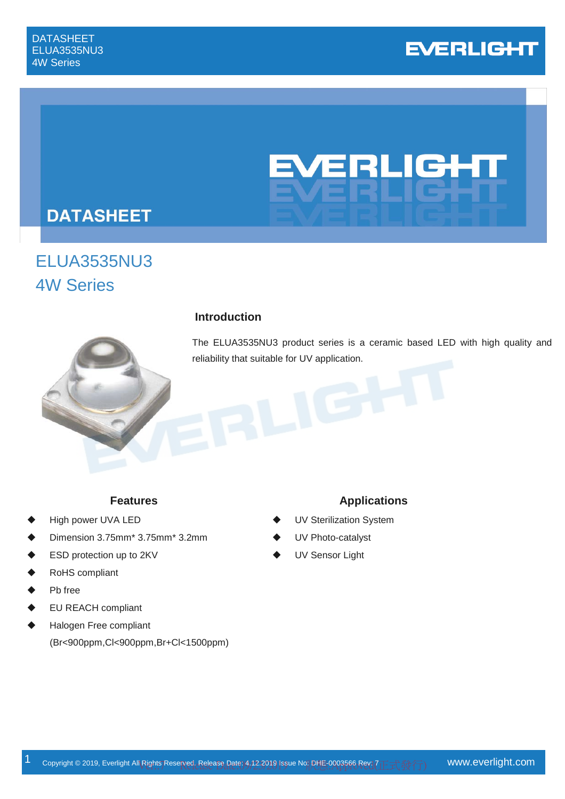# **EVERLIGHT**

# EVERLIGHT

# **DATASHEET**

# ELUA3535NU3 4W Series



#### **Introduction**

The ELUA3535NU3 product series is a ceramic based LED with high quality and reliability that suitable for UV application.

- High power UVA LED
- Dimension 3.75mm\* 3.75mm\* 3.2mm
- ESD protection up to 2KV
- RoHS compliant
- Pb free
- EU REACH compliant
- Halogen Free compliant (Br<900ppm,Cl<900ppm,Br+Cl<1500ppm)

#### **Features Applications**

- UV Sterilization System
- UV Photo-catalyst
- UV Sensor Light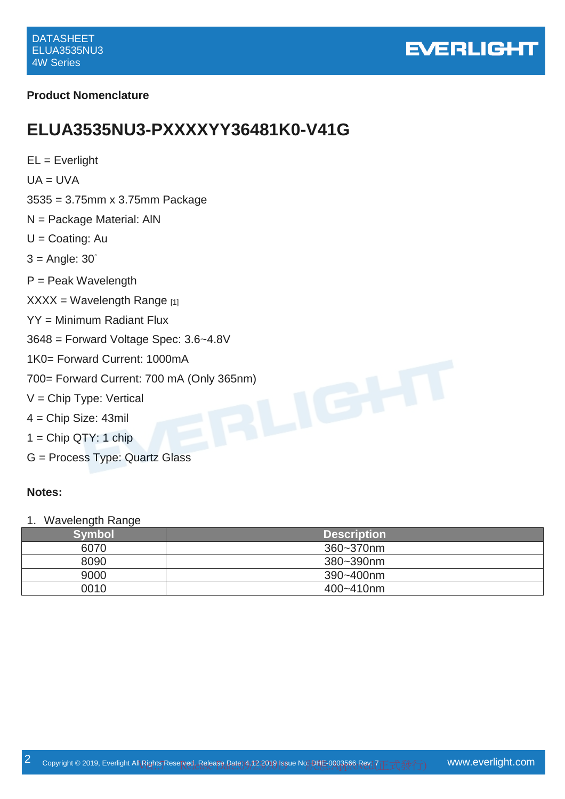

#### **Product Nomenclature**

## **ELUA3535NU3-PXXXXYY36481K0-V41G**

 $EL = Everlight$  $UA = UVA$ 3535 = 3.75mm x 3.75mm Package N = Package Material: AlN  $U =$ Coating: Au  $3 =$  Angle:  $30^\circ$ P = Peak Wavelength  $XXX = Wavelength$  Range [1] YY = Minimum Radiant Flux 3648 = Forward Voltage Spec: 3.6~4.8V 1K0= Forward Current: 1000mA 700= Forward Current: 700 mA (Only 365nm)<br>V = Chip Type: Vertical<br>4 = Chip Size: 43mil  $V =$  Chip Type: Vertical 4 = Chip Size: 43mil  $1 =$  Chip QTY: 1 chip

G = Process Type: Quartz Glass

#### **Notes:**

#### 1. Wavelength Range

| <b>Symbols</b> | <b>Description</b> |
|----------------|--------------------|
| 6070           | 360~370nm          |
| 8090           | 380~390nm          |
| 9000           | 390~400nm          |
| 0010           | 400~410nm          |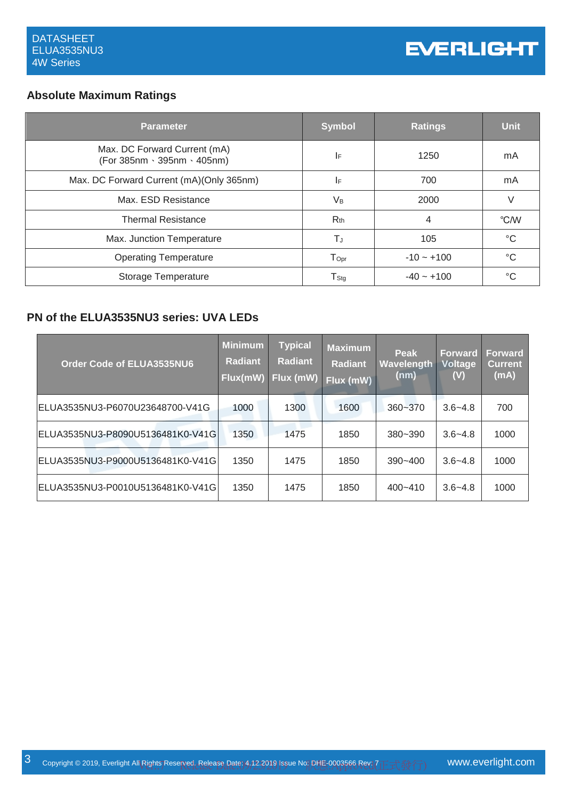#### **Absolute Maximum Ratings**

| <b>Parameter</b>                                            | <b>Symbol</b>               | <b>Ratings</b> | <b>Unit</b> |
|-------------------------------------------------------------|-----------------------------|----------------|-------------|
| Max. DC Forward Current (mA)<br>(For 385nm · 395nm · 405nm) | I۴                          | 1250           | mA          |
| Max. DC Forward Current (mA)(Only 365nm)                    | I۴                          | 700            | mA          |
| Max. ESD Resistance                                         | V <sub>B</sub>              | 2000           | V           |
| <b>Thermal Resistance</b>                                   | $R_{th}$                    | 4              | °C/W        |
| Max. Junction Temperature                                   | ΤJ                          | 105            | $^{\circ}C$ |
| <b>Operating Temperature</b>                                | $\mathsf{T}_{\mathsf{Opt}}$ | $-10 - +100$   | °C          |
| Storage Temperature                                         | $\mathsf{T}_{\mathsf{Stg}}$ | $-40 - +100$   | °C          |

#### **PN of the ELUA3535NU3 series: UVA LEDs**

| Order Code of ELUA3535NU6         | <b>Minimum</b><br><b>Radiant</b><br>Flux(mW) | <b>Typical</b><br><b>Radiant</b><br>Flux (mW) | <b>Maximum</b><br><b>Radiant</b><br>Flux (mW) | Peak<br>Wavelength<br>(nm) | <b>Forward</b><br><b>Voltage</b><br>(V) | <b>Forward</b><br><b>Current</b><br>(mA) |
|-----------------------------------|----------------------------------------------|-----------------------------------------------|-----------------------------------------------|----------------------------|-----------------------------------------|------------------------------------------|
| ELUA3535NU3-P6070U23648700-V41G   | 1000                                         | 1300                                          | 1600                                          | 360~370                    | $3.6 - 4.8$                             | 700                                      |
| ELUA3535NU3-P8090U5136481K0-V41G  | 1350                                         | 1475                                          | 1850                                          | $380 - 390$                | $3.6 - 4.8$                             | 1000                                     |
| ELUA3535NU3-P9000U5136481K0-V41G  | 1350                                         | 1475                                          | 1850                                          | $390 - 400$                | $3.6 - 4.8$                             | 1000                                     |
| ELUA3535NU3-P0010U5136481K0-V41Gl | 1350                                         | 1475                                          | 1850                                          | $400 - 410$                | $3.6 - 4.8$                             | 1000                                     |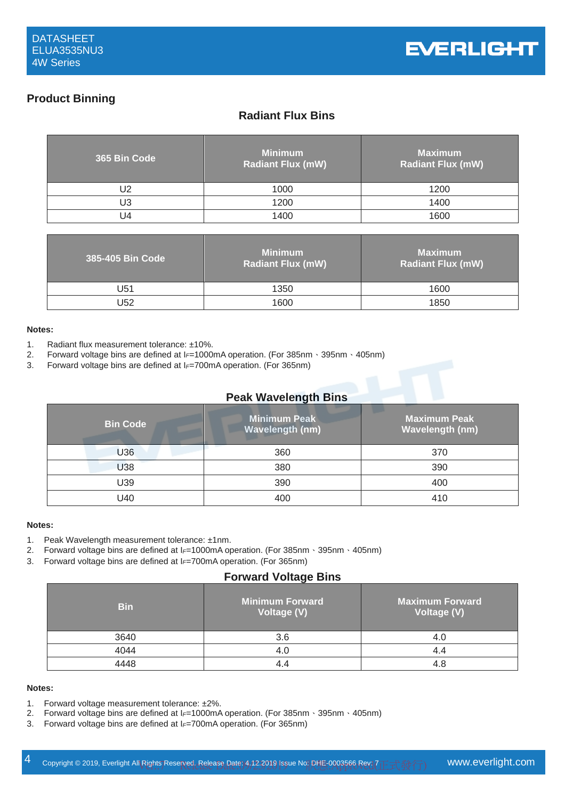#### **Product Binning**

#### **Radiant Flux Bins**

| 365 Bin Code | <b>Minimum</b><br><b>Radiant Flux (mW)</b> | <b>Maximum</b><br><b>Radiant Flux (mW)</b> |
|--------------|--------------------------------------------|--------------------------------------------|
| J2           | 1000                                       | 1200                                       |
| U3           | 1200                                       | 1400                                       |
| J4           | 1400                                       | 1600                                       |

| 385-405 Bin Code | <b>Minimum</b><br><b>Radiant Flux (mW)</b> | <b>Maximum</b><br><b>Radiant Flux (mW)</b> |
|------------------|--------------------------------------------|--------------------------------------------|
| U51              | 1350                                       | 1600                                       |
| U52              | 1600                                       | 1850                                       |

#### **Notes:**

- 1. Radiant flux measurement tolerance: ±10%.
- 2. Forward voltage bins are defined at I*F*=1000mA operation. (For 385nm、395nm、405nm)
- 3. Forward voltage bins are defined at I*F*=700mA operation. (For 365nm)

#### **Peak Wavelength Bins**

| <b>Bin Code</b> | <b>Minimum Peak</b><br>Wavelength (nm) | <b>Maximum Peak</b><br>Wavelength (nm) |
|-----------------|----------------------------------------|----------------------------------------|
| U36             | 360                                    | 370                                    |
| U38             | 380                                    | 390                                    |
| U39             | 390                                    | 400                                    |
| U40             | 400                                    | 410                                    |

#### **Notes:**

- 1. Peak Wavelength measurement tolerance: ±1nm.
- 2. Forward voltage bins are defined at I*F*=1000mA operation. (For 385nm、395nm、405nm)
- 3. Forward voltage bins are defined at I*F*=700mA operation. (For 365nm)

#### **Forward Voltage Bins**

| <b>Bin</b> | <b>Minimum Forward</b><br>Voltage (V) | <b>Maximum Forward</b><br>Voltage (V) |
|------------|---------------------------------------|---------------------------------------|
| 3640       | 3.6                                   | 4.0                                   |
| 4044       | 4.0                                   | 4.4                                   |
| 111R       |                                       | 4.8                                   |

#### **Notes:**

- 1. Forward voltage measurement tolerance: ±2%.
- 2. Forward voltage bins are defined at I*F*=1000mA operation. (For 385nm、395nm、405nm)
- 3. Forward voltage bins are defined at I*F*=700mA operation. (For 365nm)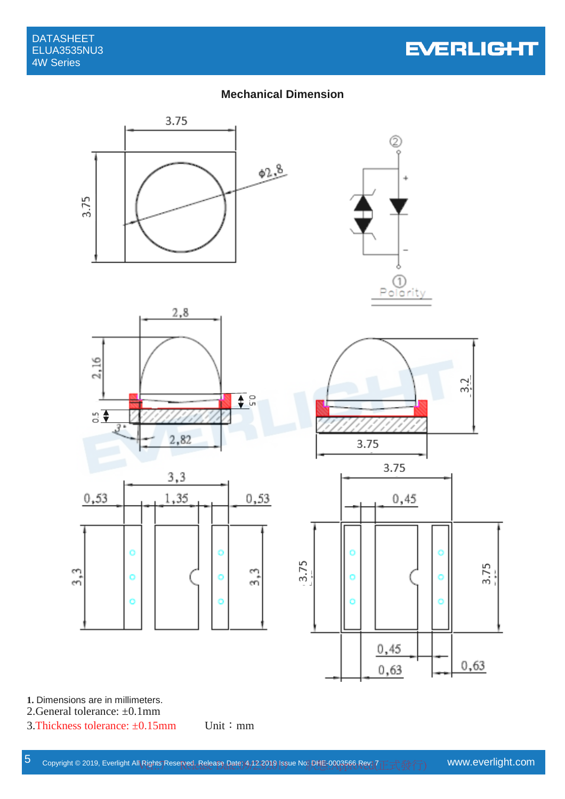# **EVERLIGHT**

#### **Mechanical Dimension**



**1.** Dimensions are in millimeters.

2.General tolerance: ±0.1mm

3.Thickness tolerance:  $\pm 0.15$ mm Unit: mm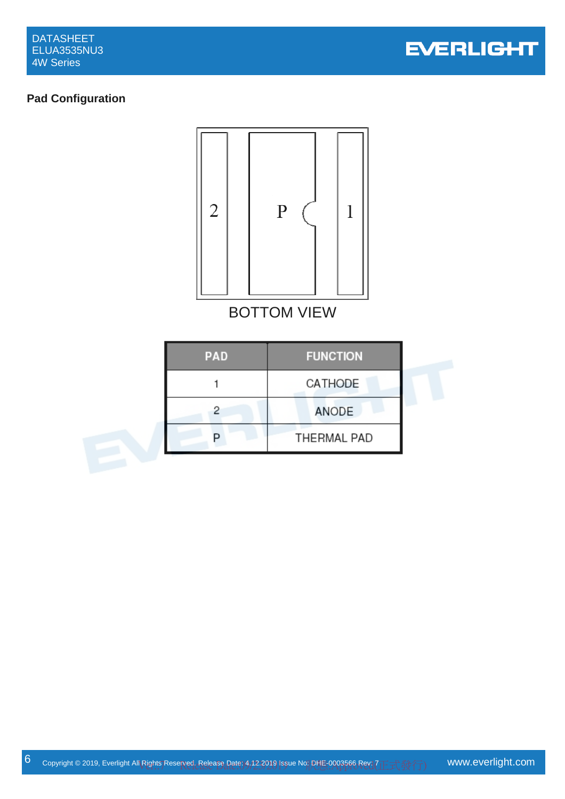

#### **Pad Configuration**

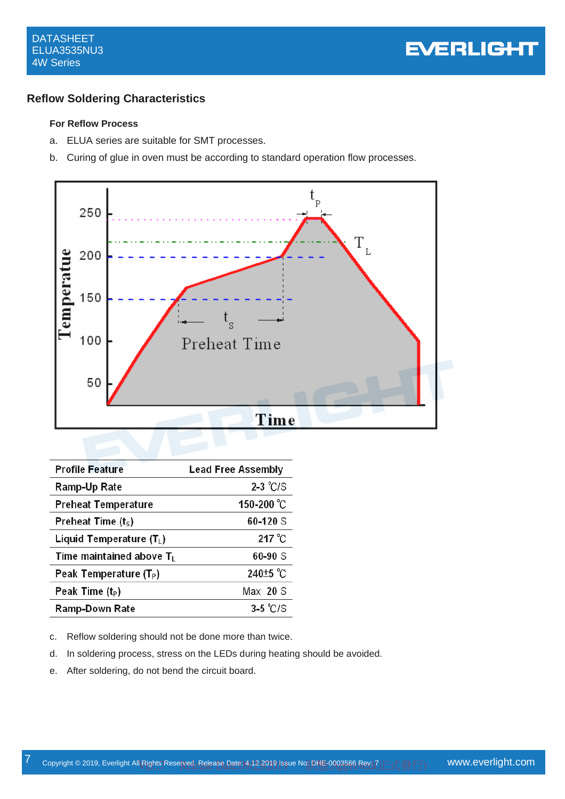

#### **Reflow Soldering Characteristics**

#### **For Reflow Process**

- a. ELUA series are suitable for SMT processes.
- b. Curing of glue in oven must be according to standard operation flow processes.



| <b>Profile Feature</b>             | <b>Lead Free Assembly</b> |
|------------------------------------|---------------------------|
| Ramp-Up Rate                       | $2-3$ °C/S                |
| <b>Preheat Temperature</b>         | 150-200 °C                |
| Preheat Time $(tS)$                | 60-120 S                  |
| Liquid Temperature $(T_L)$         | 217 °C                    |
| Time maintained above $T_L$        | $60 - 90S$                |
| Peak Temperature (T <sub>P</sub> ) | 240 <sup>+5</sup> °C      |
| Peak Time $(t_P)$                  | $Max$ 20 S                |
| <b>Ramp-Down Rate</b>              | $3-5$ °C/S                |

c. Reflow soldering should not be done more than twice.

- d. In soldering process, stress on the LEDs during heating should be avoided.
- e. After soldering, do not bend the circuit board.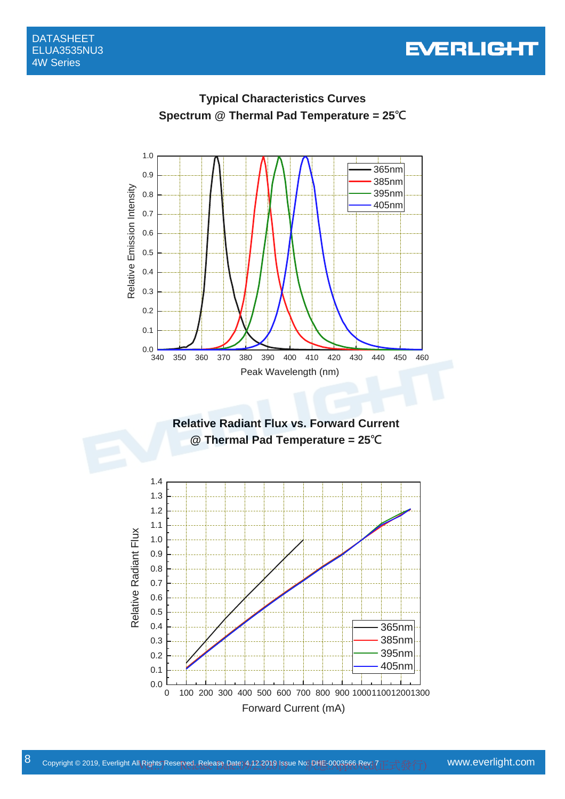







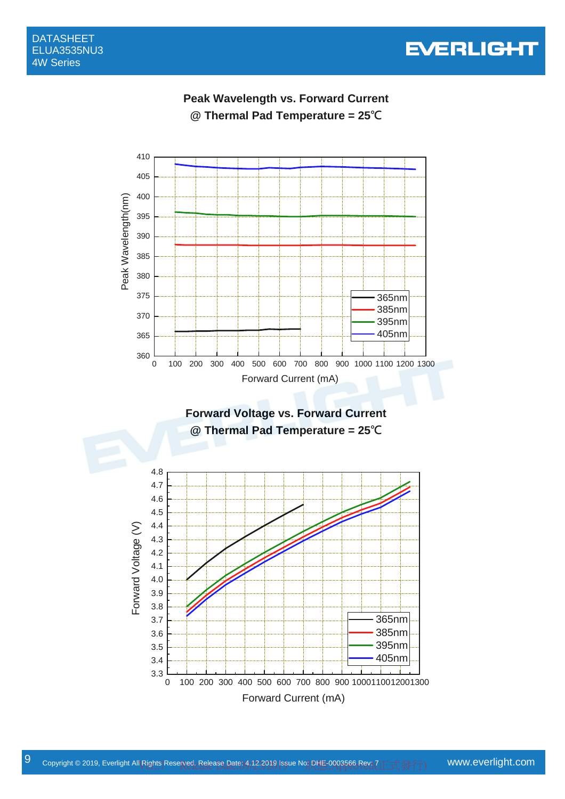

410



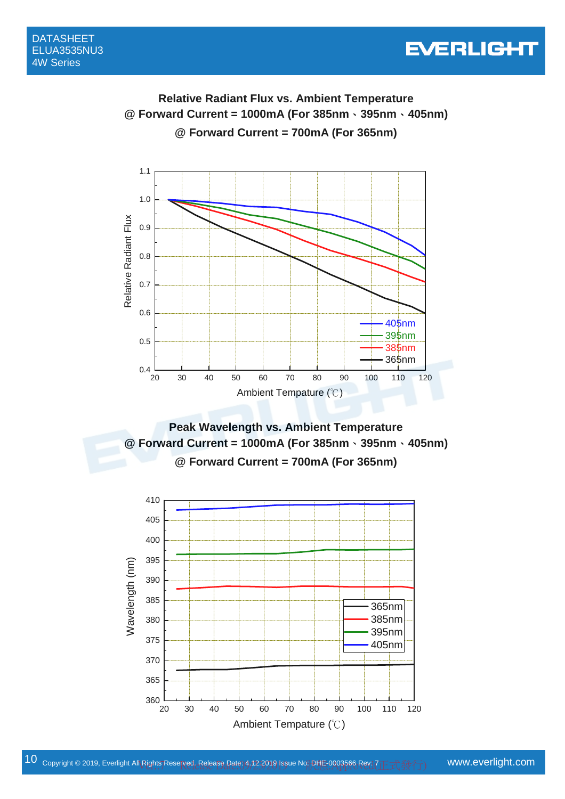# **EVERLIGHT**

## **Relative Radiant Flux vs. Ambient Temperature @ Forward Current = 1000mA (For 385nm**、**395nm**、**405nm) @ Forward Current = 700mA (For 365nm)**



**Peak Wavelength vs. Ambient Temperature @ Forward Current = 1000mA (For 385nm**、**395nm**、**405nm) @ Forward Current = 700mA (For 365nm)** 

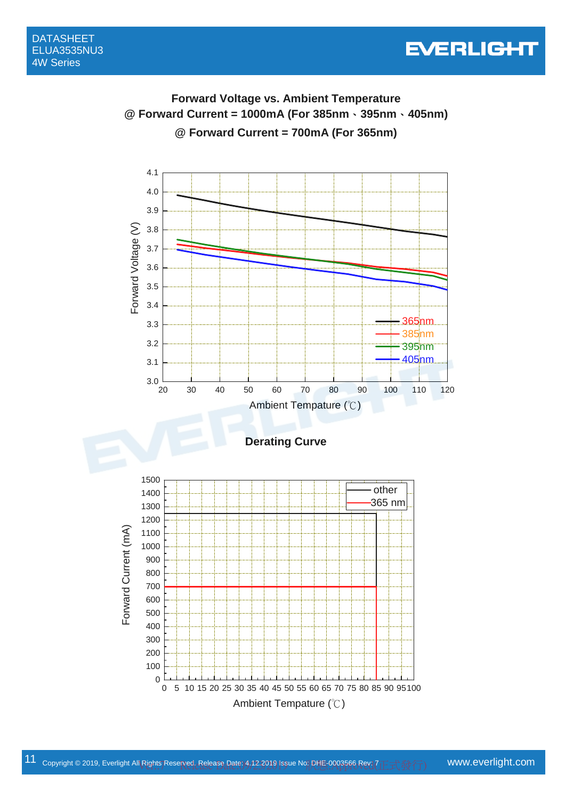## **Forward Voltage vs. Ambient Temperature @ Forward Current = 1000mA (For 385nm**、**395nm**、**405nm) @ Forward Current = 700mA (For 365nm)**

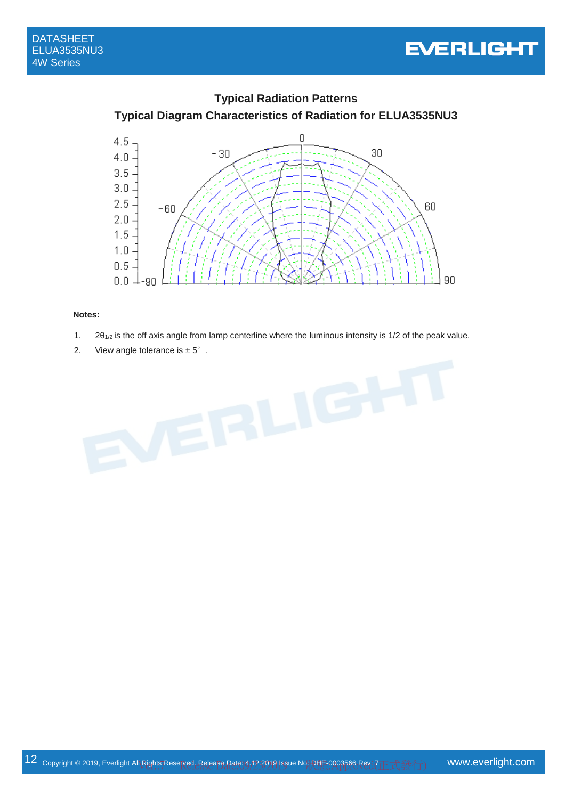





#### **Notes:**

- 1.  $2\theta_{1/2}$  is the off axis angle from lamp centerline where the luminous intensity is 1/2 of the peak value.
- 2. View angle tolerance is  $\pm 5^\circ$ .

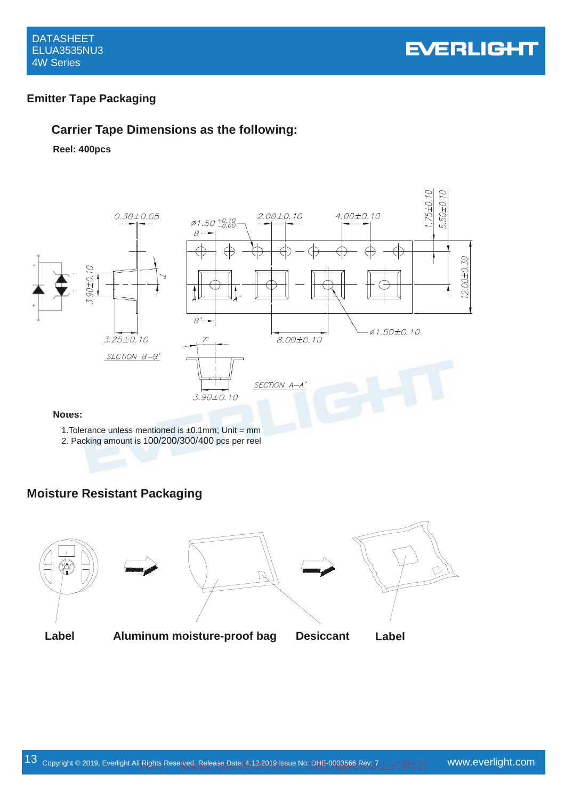



#### **Emitter Tape Packaging**

#### **Carrier Tape Dimensions as the following:**

**Reel: 400pcs**



1. Tolerance unless mentioned is  $\pm 0.1$ mm; Unit = mm

2. Packing amount is 100/200/300/400 pcs per reel

#### **Moisture Resistant Packaging**

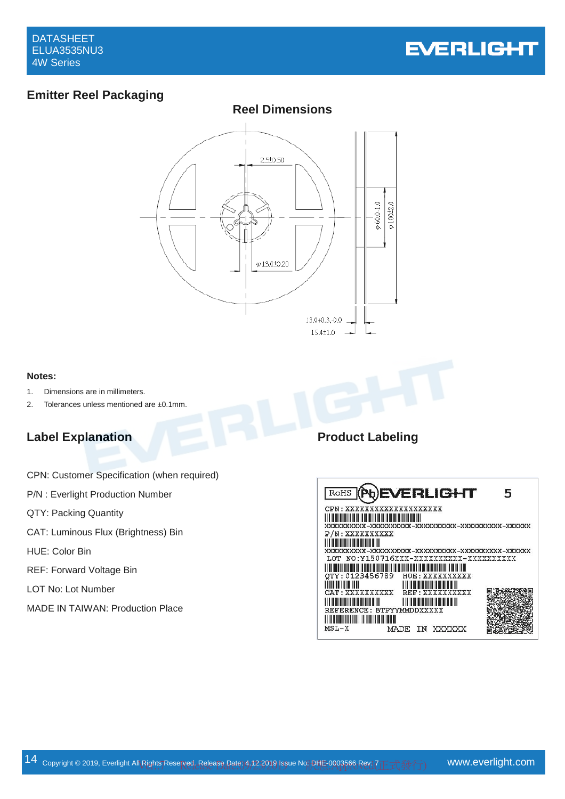

## **Emitter Reel Packaging**



#### **Notes:**

- 1. Dimensions are in millimeters.
- 2. Tolerances unless mentioned are ±0.1mm.

#### **Label Explanation Product Labeling**

|  |  | CPN: Customer Specification (when required) |
|--|--|---------------------------------------------|
|--|--|---------------------------------------------|

- P/N : Everlight Production Number
- QTY: Packing Quantity
- CAT: Luminous Flux (Brightness) Bin
- HUE: Color Bin
- REF: Forward Voltage Bin
- LOT No: Lot Number
- MADE IN TAIWAN: Production Place